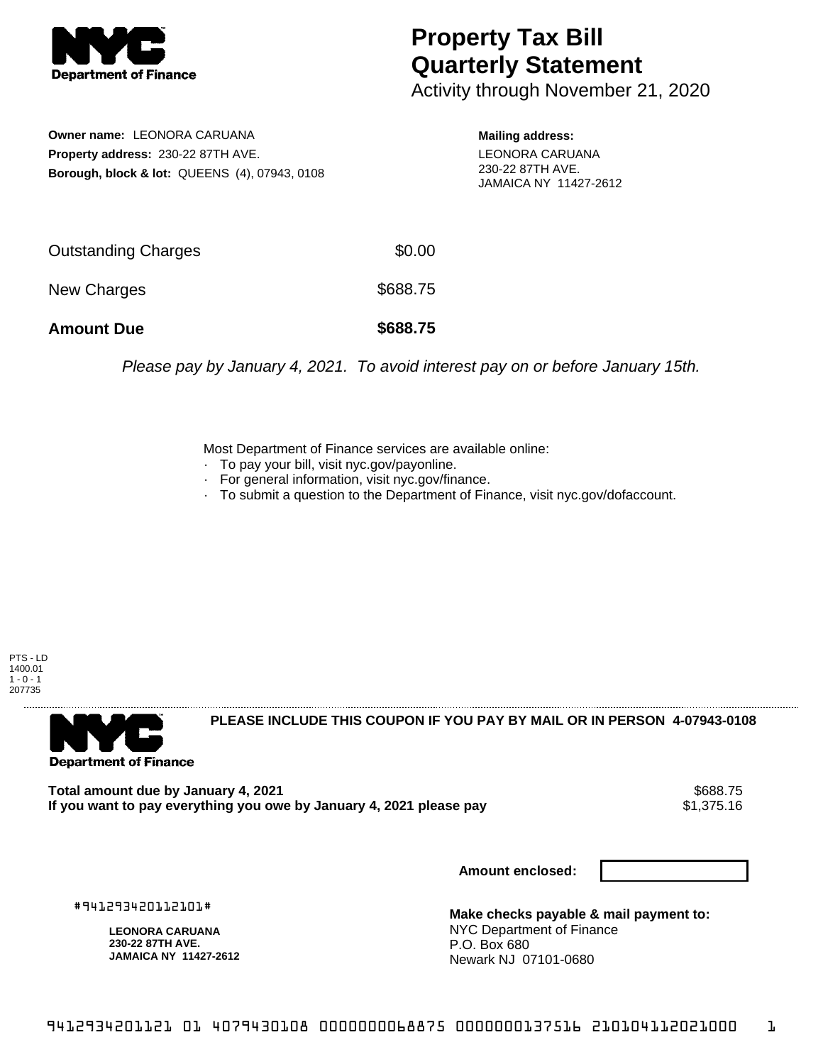

## **Property Tax Bill Quarterly Statement**

Activity through November 21, 2020

**Owner name:** LEONORA CARUANA **Property address:** 230-22 87TH AVE. **Borough, block & lot:** QUEENS (4), 07943, 0108 **Mailing address:** LEONORA CARUANA 230-22 87TH AVE. JAMAICA NY 11427-2612

| <b>Amount Due</b>          | \$688.75 |
|----------------------------|----------|
| New Charges                | \$688.75 |
| <b>Outstanding Charges</b> | \$0.00   |

Please pay by January 4, 2021. To avoid interest pay on or before January 15th.

Most Department of Finance services are available online:

- · To pay your bill, visit nyc.gov/payonline.
- For general information, visit nyc.gov/finance.
- · To submit a question to the Department of Finance, visit nyc.gov/dofaccount.

PTS - LD 1400.01  $1 - 0 - 1$ 207735



**PLEASE INCLUDE THIS COUPON IF YOU PAY BY MAIL OR IN PERSON 4-07943-0108** 

Total amount due by January 4, 2021<br>If you want to pay everything you owe by January 4, 2021 please pay **ship want to pay everything you owe by Janu** If you want to pay everything you owe by January 4, 2021 please pay

**Amount enclosed:**

#941293420112101#

**LEONORA CARUANA 230-22 87TH AVE. JAMAICA NY 11427-2612**

**Make checks payable & mail payment to:** NYC Department of Finance P.O. Box 680 Newark NJ 07101-0680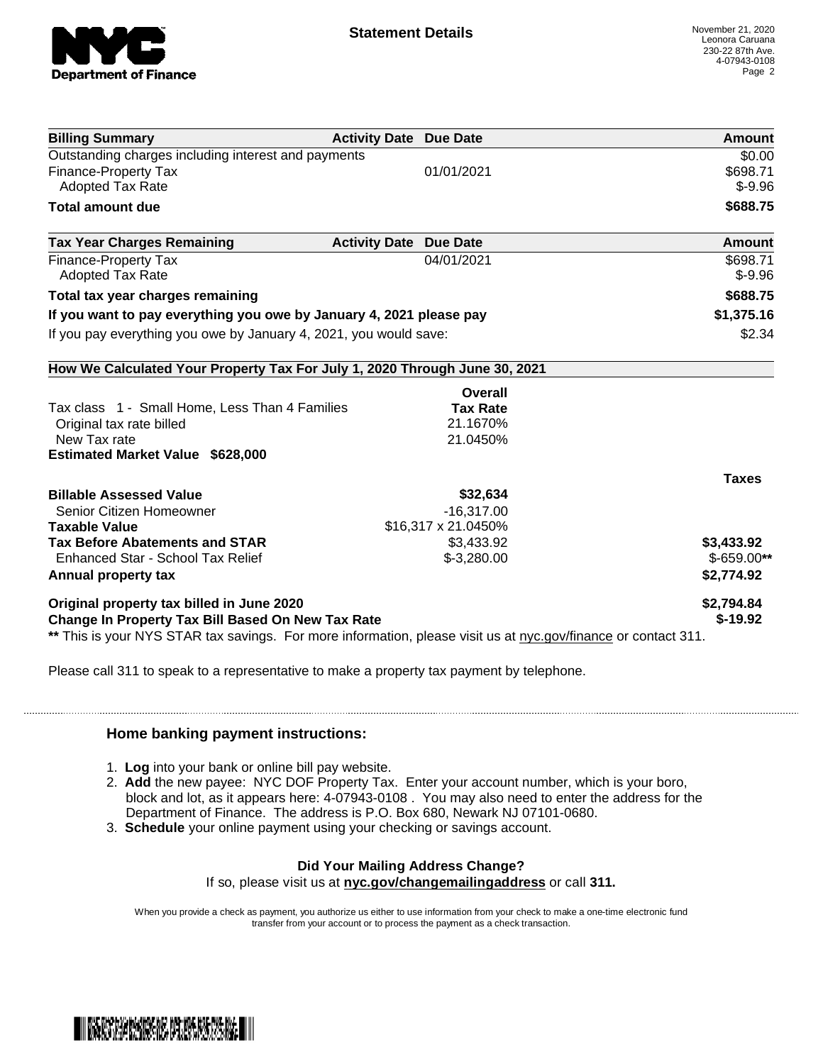

| <b>Billing Summary</b>                                                                                         | <b>Activity Date Due Date</b> | <b>Amount</b> |
|----------------------------------------------------------------------------------------------------------------|-------------------------------|---------------|
| Outstanding charges including interest and payments                                                            |                               | \$0.00        |
| <b>Finance-Property Tax</b>                                                                                    | 01/01/2021                    | \$698.71      |
| Adopted Tax Rate                                                                                               |                               | $$ -9.96$     |
| <b>Total amount due</b>                                                                                        |                               | \$688.75      |
| <b>Tax Year Charges Remaining</b>                                                                              | <b>Activity Date Due Date</b> | Amount        |
| Finance-Property Tax                                                                                           | 04/01/2021                    | \$698.71      |
| <b>Adopted Tax Rate</b>                                                                                        |                               | $$-9.96$      |
| Total tax year charges remaining                                                                               |                               | \$688.75      |
| If you want to pay everything you owe by January 4, 2021 please pay                                            |                               | \$1,375.16    |
| If you pay everything you owe by January 4, 2021, you would save:                                              |                               | \$2.34        |
| How We Calculated Your Property Tax For July 1, 2020 Through June 30, 2021                                     |                               |               |
|                                                                                                                | Overall                       |               |
| Tax class 1 - Small Home, Less Than 4 Families                                                                 | <b>Tax Rate</b>               |               |
| Original tax rate billed                                                                                       | 21.1670%                      |               |
| New Tax rate                                                                                                   | 21.0450%                      |               |
| <b>Estimated Market Value \$628,000</b>                                                                        |                               |               |
|                                                                                                                |                               | <b>Taxes</b>  |
| <b>Billable Assessed Value</b>                                                                                 | \$32,634                      |               |
| Senior Citizen Homeowner                                                                                       | $-16,317.00$                  |               |
| <b>Taxable Value</b>                                                                                           | \$16,317 x 21.0450%           |               |
| <b>Tax Before Abatements and STAR</b>                                                                          | \$3,433.92                    | \$3,433.92    |
| Enhanced Star - School Tax Relief                                                                              | $$-3,280.00$                  | $$-659.00**$  |
| Annual property tax                                                                                            |                               | \$2,774.92    |
| Original property tax billed in June 2020                                                                      |                               | \$2,794.84    |
| <b>Change In Property Tax Bill Based On New Tax Rate</b>                                                       |                               | $$-19.92$     |
| ** This is your NYS STAR tax savings. For more information, please visit us at nyc.gov/finance or contact 311. |                               |               |

Please call 311 to speak to a representative to make a property tax payment by telephone.

## **Home banking payment instructions:**

- 1. **Log** into your bank or online bill pay website.
- 2. **Add** the new payee: NYC DOF Property Tax. Enter your account number, which is your boro, block and lot, as it appears here: 4-07943-0108 . You may also need to enter the address for the Department of Finance. The address is P.O. Box 680, Newark NJ 07101-0680.
- 3. **Schedule** your online payment using your checking or savings account.

## **Did Your Mailing Address Change?**

If so, please visit us at **nyc.gov/changemailingaddress** or call **311.**

When you provide a check as payment, you authorize us either to use information from your check to make a one-time electronic fund transfer from your account or to process the payment as a check transaction.